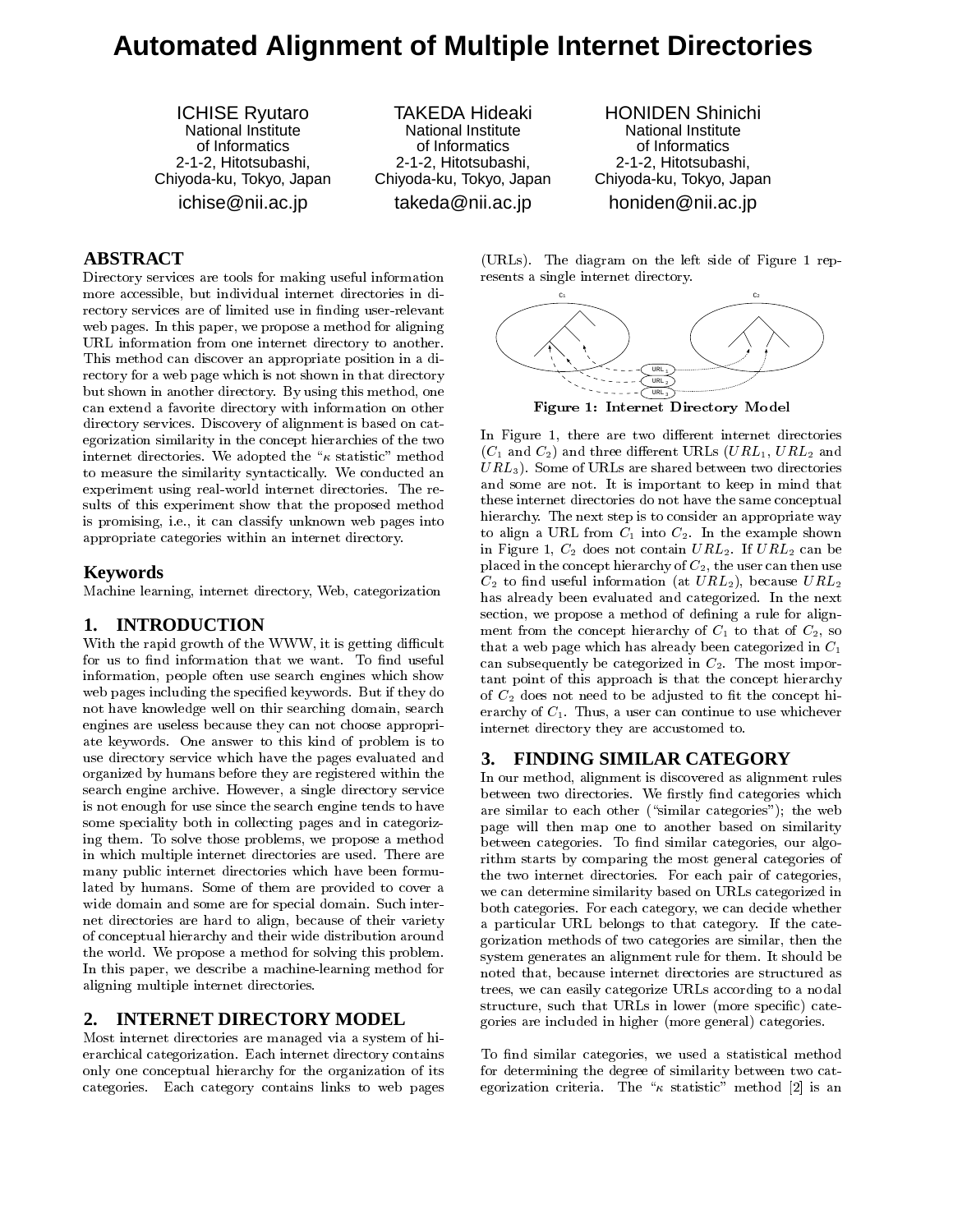# **Automated Alignment of Multiple Internet Directories**

ICHISE Ryutaro National Institute of Informatics 2-1-2, Hitotsubashi, Chiyoda-ku, Tokyo, Japan ichise@nii.ac.jp

TAKEDA Hideaki National Institute of Informatics 2-1-2, Hitotsubashi, Chiyoda-ku, Tokyo, Japan

takeda@nii.ac.jp

HONIDEN Shinichi National Institute of Informatics 2-1-2, Hitotsubashi, Chiyoda-ku, Tokyo, Japan honiden@nii.ac.jp

## **ABSTRACT**

Directory services are tools for making useful information more accessible, but individual internet directories in directory services are of limited use in finding user-relevant web pages. In this paper, we propose a method for aligning URL information from one internet directory to another. This method can discover an appropriate position in a directory for a web page which is not shown in that directory but shown in another directory. By using this method, one can extend a favorite directory with information on other directory services. Discovery of alignment is based on categorization similarity in the concept hierarchies of the two internet directories. We adopted the " $\kappa$  statistic" method to measure the similarity syntactically. We conducted an experiment using real-world internet directories. The results of this experiment show that the proposed method is promising, i.e., it can classify unknown web pages into appropriate categories within an internet directory.

#### **Keywords**

Machine learning, internet directory, Web, categorization

### **1. INTRODUCTION**

With the rapid growth of the WWW, it is getting difficult for us to find information that we want. To find useful information, people often use search engines which show web pages including the specied keywords. But if they do not have knowledge well on thir searching domain, search engines are useless because they can not choose appropriate keywords. One answer to this kind of problem is to use directory service which have the pages evaluated and organized by humans before they are registered within the search engine archive. However, a single directory service is not enough for use since the search engine tends to have some speciality both in collecting pages and in categorizing them. To solve those problems, we propose a method in which multiple internet directories are used. There are many public internet directories which have been formulated by humans. Some of them are provided to cover a wide domain and some are for special domain. Such internet directories are hard to align, because of their variety of conceptual hierarchy and their wide distribution around the world. We propose a method for solving this problem. In this paper, we describe a machine-learning method for aligning multiple internet directories.

#### **2. INTERNET DIRECTORY MODEL**

Most internet directories are managed via a system of hi erarchical categorization. Each internet directory contains only one conceptual hierarchy for the organization of its categories. Each category contains links to web pages (URLs). The diagram on the left side of Figure 1 rep resents a single internet directory.



Figure 1: Internet Directory Model

In Figure 1, there are two different internet directories  $(C_1$  and  $C_2$ ) and three different URLs  $(URL_1, URL_2$  and  $URL<sub>3</sub>$ . Some of URLs are shared between two directories and some are not. It is important to keep in mind that these internet directories do not have the same conceptual hierarchy. The next step is to consider an appropriate way to align a URL from  $C_1$  into  $C_2$ . In the example shown in Figure 1,  $C_2$  does not contain  $URL_2$ . If  $URL_2$  can be placed in the concept hierarchy of  $C_2$ , the user can then use  $C_2$  to find useful information (at  $URL_2$ ), because  $URL_2$ has already been evaluated and categorized. In the next section, we propose a method of defining a rule for alignment from the concept hierarchy of  $C_1$  to that of  $C_2$ , so that a web page which has already been categorized in C1 can subsequently be categorized in  $C_2$ . The most important point of this approach is that the concept hierarchy of  $C_2$  does not need to be adjusted to fit the concept hierarchy of  $C_1$ . Thus, a user can continue to use whichever internet directory they are accustomed to.

### **3. FINDING SIMILAR CATEGORY**

In our method, alignment is discovered as alignment rules between two directories. We firstly find categories which are similar to each other ("similar categories"); the web page will then map one to another based on similarity between categories. To find similar categories, our algorithm starts by comparing the most general categories of the two internet directories. For each pair of categories, we can determine similarity based on URLs categorized in both categories. For each category, we can decide whether a particular URL belongs to that category. If the categorization methods of two categories are similar, then the system generates an alignment rule for them. It should be noted that, because internet directories are structured as trees, we can easily categorize URLs according to a nodal structure, such that URLs in lower (more specic) categories are included in higher (more general) categories.

To find similar categories, we used a statistical method for determining the degree of similarity between two categorization criteria. The " $\kappa$  statistic" method [2] is an